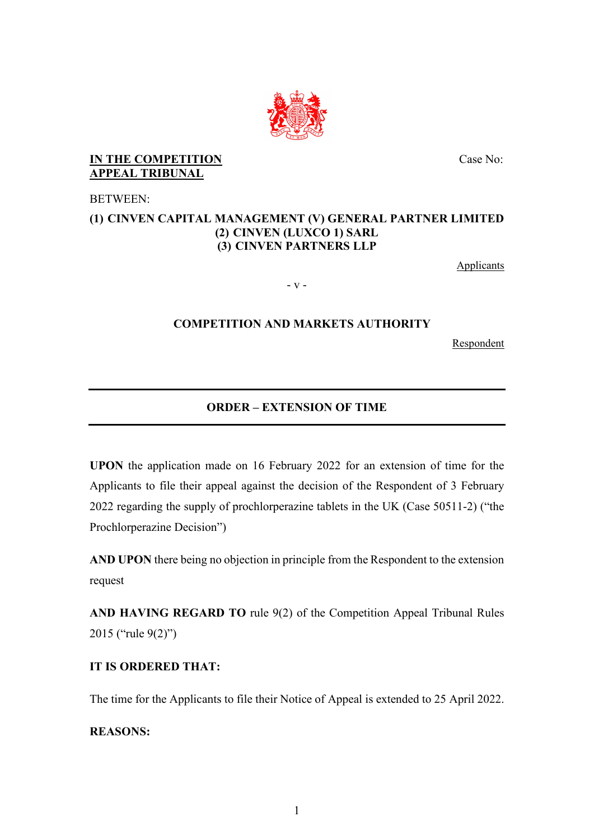

### **IN THE COMPETITION APPEAL TRIBUNAL**

BETWEEN:

### **(1) CINVEN CAPITAL MANAGEMENT (V) GENERAL PARTNER LIMITED (2) CINVEN (LUXCO 1) SARL (3) CINVEN PARTNERS LLP**

**Applicants** 

Case No:

- v -

### **COMPETITION AND MARKETS AUTHORITY**

Respondent

# **ORDER – EXTENSION OF TIME**

**UPON** the application made on 16 February 2022 for an extension of time for the Applicants to file their appeal against the decision of the Respondent of 3 February 2022 regarding the supply of prochlorperazine tablets in the UK (Case 50511-2) ("the Prochlorperazine Decision")

**AND UPON** there being no objection in principle from the Respondent to the extension request

**AND HAVING REGARD TO** rule 9(2) of the Competition Appeal Tribunal Rules 2015 ("rule 9(2)")

## **IT IS ORDERED THAT:**

The time for the Applicants to file their Notice of Appeal is extended to 25 April 2022.

**REASONS:**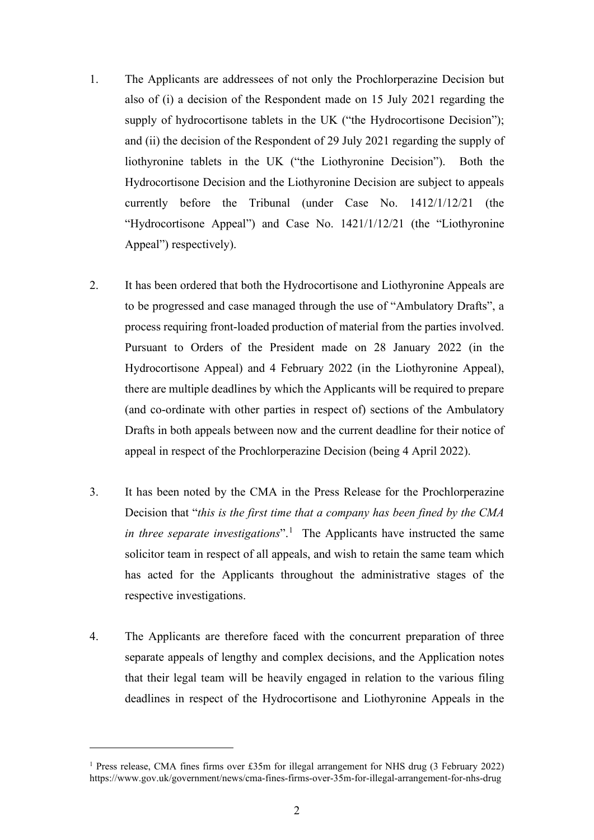- 1. The Applicants are addressees of not only the Prochlorperazine Decision but also of (i) a decision of the Respondent made on 15 July 2021 regarding the supply of hydrocortisone tablets in the UK ("the Hydrocortisone Decision"); and (ii) the decision of the Respondent of 29 July 2021 regarding the supply of liothyronine tablets in the UK ("the Liothyronine Decision"). Both the Hydrocortisone Decision and the Liothyronine Decision are subject to appeals currently before the Tribunal (under Case No. 1412/1/12/21 (the "Hydrocortisone Appeal") and Case No. 1421/1/12/21 (the "Liothyronine Appeal") respectively).
- 2. It has been ordered that both the Hydrocortisone and Liothyronine Appeals are to be progressed and case managed through the use of "Ambulatory Drafts", a process requiring front-loaded production of material from the parties involved. Pursuant to Orders of the President made on 28 January 2022 (in the Hydrocortisone Appeal) and 4 February 2022 (in the Liothyronine Appeal), there are multiple deadlines by which the Applicants will be required to prepare (and co-ordinate with other parties in respect of) sections of the Ambulatory Drafts in both appeals between now and the current deadline for their notice of appeal in respect of the Prochlorperazine Decision (being 4 April 2022).
- 3. It has been noted by the CMA in the Press Release for the Prochlorperazine Decision that "*this is the first time that a company has been fined by the CMA*  in three separate investigations".<sup>1</sup> The Applicants have instructed the same solicitor team in respect of all appeals, and wish to retain the same team which has acted for the Applicants throughout the administrative stages of the respective investigations.
- 4. The Applicants are therefore faced with the concurrent preparation of three separate appeals of lengthy and complex decisions, and the Application notes that their legal team will be heavily engaged in relation to the various filing deadlines in respect of the Hydrocortisone and Liothyronine Appeals in the

<sup>&</sup>lt;sup>1</sup> Press release, CMA fines firms over £35m for illegal arrangement for NHS drug (3 February 2022) https://www.gov.uk/government/news/cma-fines-firms-over-35m-for-illegal-arrangement-for-nhs-drug